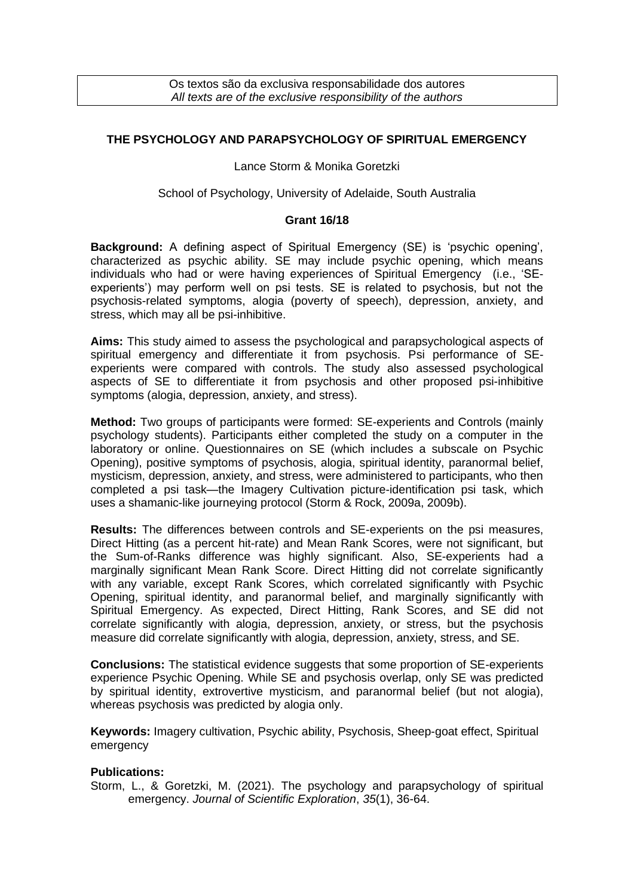Os textos são da exclusiva responsabilidade dos autores *All texts are of the exclusive responsibility of the authors*

## **THE PSYCHOLOGY AND PARAPSYCHOLOGY OF SPIRITUAL EMERGENCY**

Lance Storm & Monika Goretzki

## School of Psychology, University of Adelaide, South Australia

## **Grant 16/18**

**Background:** A defining aspect of Spiritual Emergency (SE) is 'psychic opening', characterized as psychic ability. SE may include psychic opening, which means individuals who had or were having experiences of Spiritual Emergency (i.e., 'SEexperients') may perform well on psi tests. SE is related to psychosis, but not the psychosis-related symptoms, alogia (poverty of speech), depression, anxiety, and stress, which may all be psi-inhibitive.

**Aims:** This study aimed to assess the psychological and parapsychological aspects of spiritual emergency and differentiate it from psychosis. Psi performance of SEexperients were compared with controls. The study also assessed psychological aspects of SE to differentiate it from psychosis and other proposed psi-inhibitive symptoms (alogia, depression, anxiety, and stress).

**Method:** Two groups of participants were formed: SE-experients and Controls (mainly psychology students). Participants either completed the study on a computer in the laboratory or online. Questionnaires on SE (which includes a subscale on Psychic Opening), positive symptoms of psychosis, alogia, spiritual identity, paranormal belief, mysticism, depression, anxiety, and stress, were administered to participants, who then completed a psi task—the Imagery Cultivation picture-identification psi task, which uses a shamanic-like journeying protocol (Storm & Rock, 2009a, 2009b).

**Results:** The differences between controls and SE-experients on the psi measures, Direct Hitting (as a percent hit-rate) and Mean Rank Scores, were not significant, but the Sum-of-Ranks difference was highly significant. Also, SE-experients had a marginally significant Mean Rank Score. Direct Hitting did not correlate significantly with any variable, except Rank Scores, which correlated significantly with Psychic Opening, spiritual identity, and paranormal belief, and marginally significantly with Spiritual Emergency. As expected, Direct Hitting, Rank Scores, and SE did not correlate significantly with alogia, depression, anxiety, or stress, but the psychosis measure did correlate significantly with alogia, depression, anxiety, stress, and SE.

**Conclusions:** The statistical evidence suggests that some proportion of SE-experients experience Psychic Opening. While SE and psychosis overlap, only SE was predicted by spiritual identity, extrovertive mysticism, and paranormal belief (but not alogia), whereas psychosis was predicted by alogia only.

**Keywords:** Imagery cultivation, Psychic ability, Psychosis, Sheep-goat effect, Spiritual emergency

## **Publications:**

Storm, L., & Goretzki, M. (2021). The psychology and parapsychology of spiritual emergency. *Journal of Scientific Exploration*, *35*(1), 36-64.